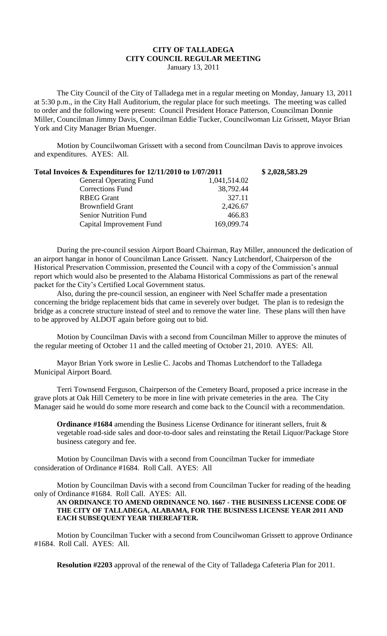## **CITY OF TALLADEGA CITY COUNCIL REGULAR MEETING** January 13, 2011

The City Council of the City of Talladega met in a regular meeting on Monday, January 13, 2011 at 5:30 p.m., in the City Hall Auditorium, the regular place for such meetings. The meeting was called to order and the following were present: Council President Horace Patterson, Councilman Donnie Miller, Councilman Jimmy Davis, Councilman Eddie Tucker, Councilwoman Liz Grissett, Mayor Brian York and City Manager Brian Muenger.

Motion by Councilwoman Grissett with a second from Councilman Davis to approve invoices and expenditures. AYES: All.

| Total Invoices $\&$ Expenditures for 12/11/2010 to 1/07/2011 |              | \$2,028,583.29 |
|--------------------------------------------------------------|--------------|----------------|
| <b>General Operating Fund</b>                                | 1,041,514.02 |                |
| Corrections Fund                                             | 38,792.44    |                |
| <b>RBEG Grant</b>                                            | 327.11       |                |
| <b>Brownfield Grant</b>                                      | 2,426.67     |                |
| <b>Senior Nutrition Fund</b>                                 | 466.83       |                |
| Capital Improvement Fund                                     | 169,099.74   |                |

During the pre-council session Airport Board Chairman, Ray Miller, announced the dedication of an airport hangar in honor of Councilman Lance Grissett. Nancy Lutchendorf, Chairperson of the Historical Preservation Commission, presented the Council with a copy of the Commission's annual report which would also be presented to the Alabama Historical Commissions as part of the renewal packet for the City's Certified Local Government status.

Also, during the pre-council session, an engineer with Neel Schaffer made a presentation concerning the bridge replacement bids that came in severely over budget. The plan is to redesign the bridge as a concrete structure instead of steel and to remove the water line. These plans will then have to be approved by ALDOT again before going out to bid.

Motion by Councilman Davis with a second from Councilman Miller to approve the minutes of the regular meeting of October 11 and the called meeting of October 21, 2010. AYES: All.

Mayor Brian York swore in Leslie C. Jacobs and Thomas Lutchendorf to the Talladega Municipal Airport Board.

Terri Townsend Ferguson, Chairperson of the Cemetery Board, proposed a price increase in the grave plots at Oak Hill Cemetery to be more in line with private cemeteries in the area. The City Manager said he would do some more research and come back to the Council with a recommendation.

**Ordinance #1684** amending the Business License Ordinance for itinerant sellers, fruit & vegetable road-side sales and door-to-door sales and reinstating the Retail Liquor/Package Store business category and fee.

Motion by Councilman Davis with a second from Councilman Tucker for immediate consideration of Ordinance #1684. Roll Call. AYES: All

Motion by Councilman Davis with a second from Councilman Tucker for reading of the heading only of Ordinance #1684. Roll Call. AYES: All.

## **AN ORDINANCE TO AMEND ORDINANCE NO. 1667 - THE BUSINESS LICENSE CODE OF THE CITY OF TALLADEGA, ALABAMA, FOR THE BUSINESS LICENSE YEAR 2011 AND EACH SUBSEQUENT YEAR THEREAFTER.**

Motion by Councilman Tucker with a second from Councilwoman Grissett to approve Ordinance #1684. Roll Call. AYES: All.

**Resolution #2203** approval of the renewal of the City of Talladega Cafeteria Plan for 2011.